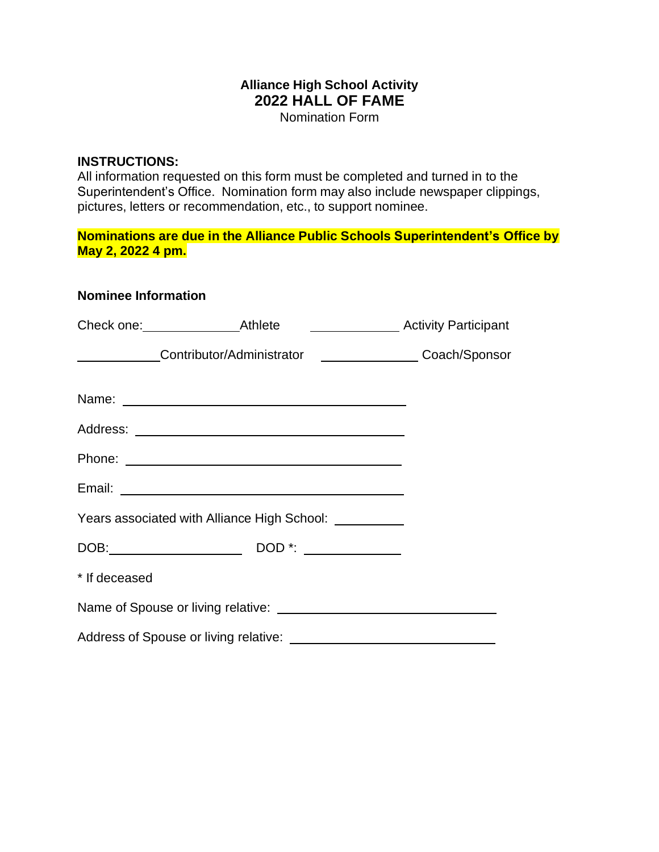## **Alliance High School Activity 2022 HALL OF FAME**

Nomination Form

## **INSTRUCTIONS:**

**Nominee Information**

All information requested on this form must be completed and turned in to the Superintendent's Office. Nomination form may also include newspaper clippings, pictures, letters or recommendation, etc., to support nominee.

**Nominations are due in the Alliance Public Schools Superintendent's Office by May 2, 2022 4 pm.**

|               | ______________Contributor/Administrator ___________________Coach/Sponsor |  |
|---------------|--------------------------------------------------------------------------|--|
|               |                                                                          |  |
|               |                                                                          |  |
|               |                                                                          |  |
|               |                                                                          |  |
|               | Years associated with Alliance High School: __________                   |  |
|               |                                                                          |  |
| * If deceased |                                                                          |  |
|               |                                                                          |  |
|               |                                                                          |  |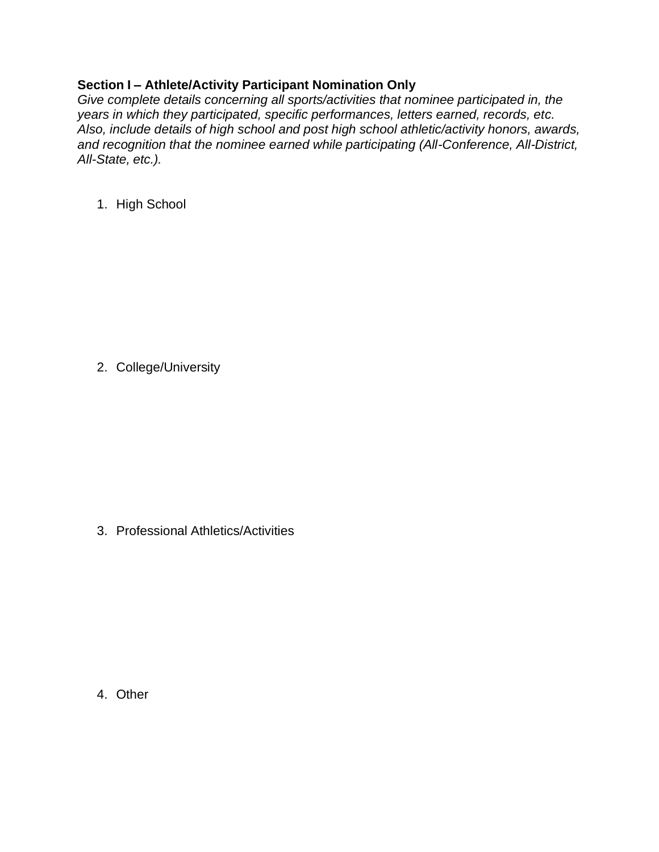## **Section I – Athlete/Activity Participant Nomination Only**

*Give complete details concerning all sports/activities that nominee participated in, the years in which they participated, specific performances, letters earned, records, etc. Also, include details of high school and post high school athletic/activity honors, awards, and recognition that the nominee earned while participating (All-Conference, All-District, All-State, etc.).*

1. High School

2. College/University

3. Professional Athletics/Activities

4. Other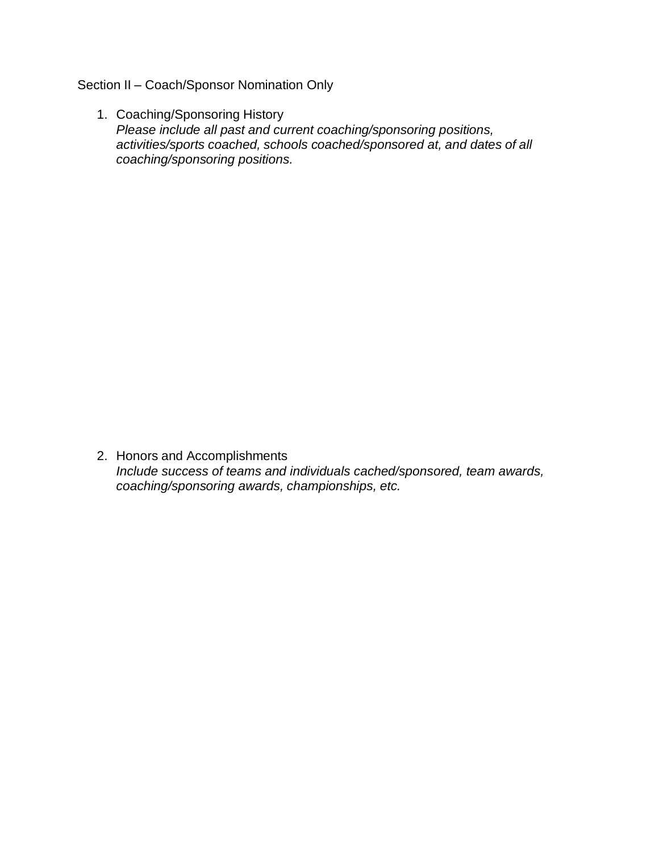Section II – Coach/Sponsor Nomination Only

1. Coaching/Sponsoring History *Please include all past and current coaching/sponsoring positions, activities/sports coached, schools coached/sponsored at, and dates of all coaching/sponsoring positions.*

2. Honors and Accomplishments *Include success of teams and individuals cached/sponsored, team awards, coaching/sponsoring awards, championships, etc.*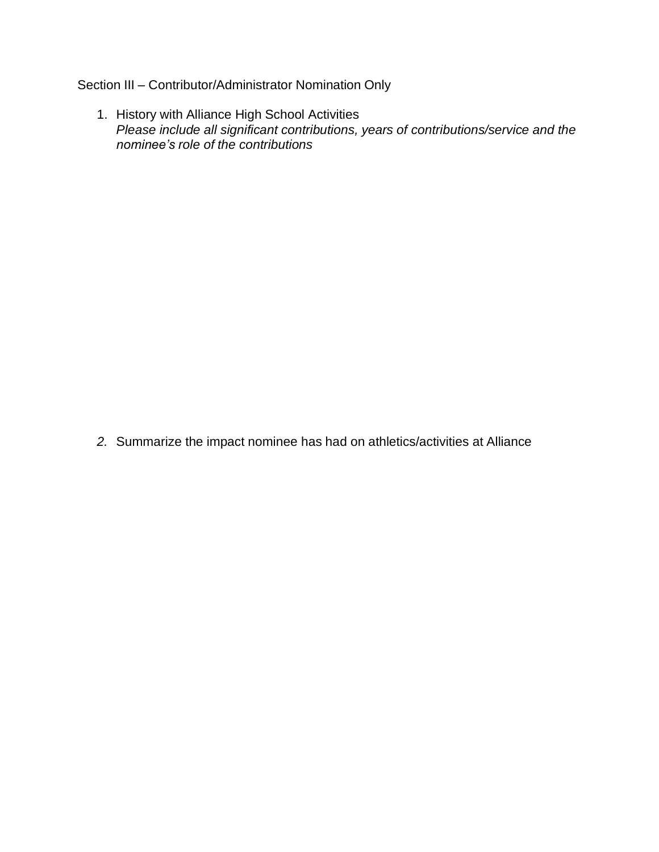## Section III – Contributor/Administrator Nomination Only

1. History with Alliance High School Activities *Please include all significant contributions, years of contributions/service and the nominee's role of the contributions*

*2.* Summarize the impact nominee has had on athletics/activities at Alliance